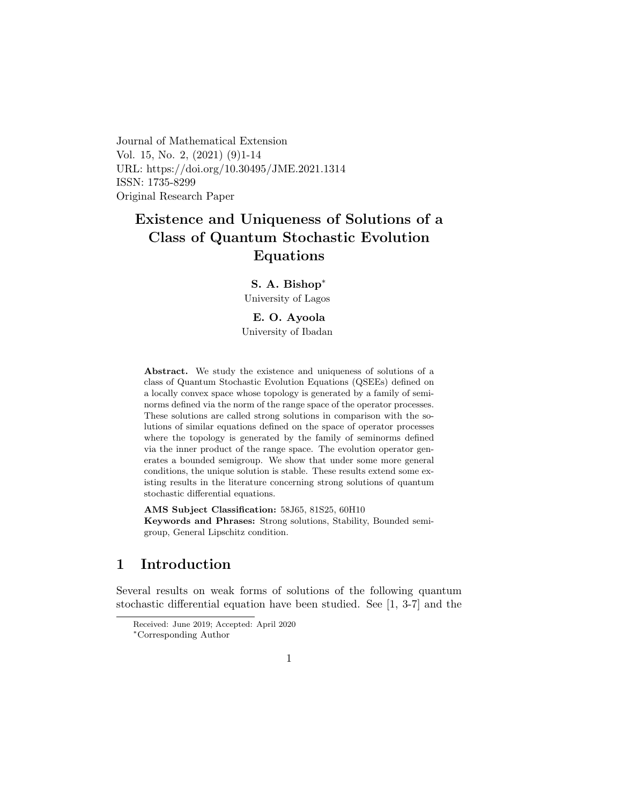Journal of Mathematical Extension Vol. 15, No. 2, (2021) (9)1-14 URL: https://doi.org/10.30495/JME.2021.1314 ISSN: 1735-8299 Original Research Paper

# Existence and Uniqueness of Solutions of a Class of Quantum Stochastic Evolution Equations

S. A. Bishop[∗](#page-0-0) University of Lagos

E. O. Ayoola University of Ibadan

Abstract. We study the existence and uniqueness of solutions of a class of Quantum Stochastic Evolution Equations (QSEEs) defined on a locally convex space whose topology is generated by a family of seminorms defined via the norm of the range space of the operator processes. These solutions are called strong solutions in comparison with the solutions of similar equations defined on the space of operator processes where the topology is generated by the family of seminorms defined via the inner product of the range space. The evolution operator generates a bounded semigroup. We show that under some more general conditions, the unique solution is stable. These results extend some existing results in the literature concerning strong solutions of quantum stochastic differential equations.

AMS Subject Classification: 58J65, 81S25, 60H10 Keywords and Phrases: Strong solutions, Stability, Bounded semigroup, General Lipschitz condition.

# 1 Introduction

Several results on weak forms of solutions of the following quantum stochastic differential equation have been studied. See [1, 3-7] and the

Received: June 2019; Accepted: April 2020

<span id="page-0-0"></span><sup>∗</sup>Corresponding Author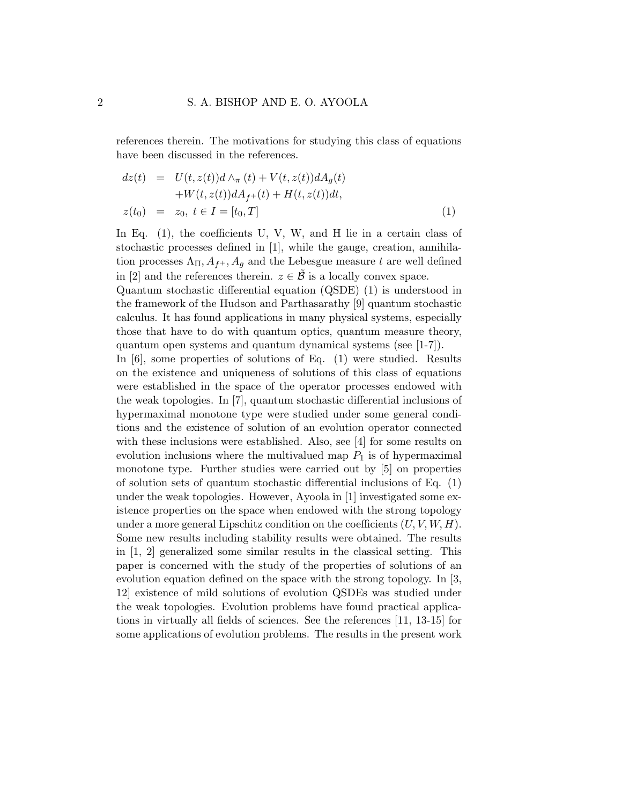references therein. The motivations for studying this class of equations have been discussed in the references.

$$
dz(t) = U(t, z(t))d \wedge_{\pi} (t) + V(t, z(t))dA_g(t)
$$
  
+
$$
W(t, z(t))dA_f + (t) + H(t, z(t))dt,
$$
  

$$
z(t_0) = z_0, t \in I = [t_0, T]
$$
 (1)

In Eq. (1), the coefficients U, V, W, and H lie in a certain class of stochastic processes defined in [1], while the gauge, creation, annihilation processes  $\Lambda_{\Pi}, A_{f+}, A_g$  and the Lebesgue measure t are well defined in [2] and the references therein.  $z \in \tilde{\mathcal{B}}$  is a locally convex space.

Quantum stochastic differential equation (QSDE) (1) is understood in the framework of the Hudson and Parthasarathy [9] quantum stochastic calculus. It has found applications in many physical systems, especially those that have to do with quantum optics, quantum measure theory, quantum open systems and quantum dynamical systems (see [1-7]).

In [6], some properties of solutions of Eq. (1) were studied. Results on the existence and uniqueness of solutions of this class of equations were established in the space of the operator processes endowed with the weak topologies. In [7], quantum stochastic differential inclusions of hypermaximal monotone type were studied under some general conditions and the existence of solution of an evolution operator connected with these inclusions were established. Also, see [4] for some results on evolution inclusions where the multivalued map  $P_1$  is of hypermaximal monotone type. Further studies were carried out by [5] on properties of solution sets of quantum stochastic differential inclusions of Eq. (1) under the weak topologies. However, Ayoola in [1] investigated some existence properties on the space when endowed with the strong topology under a more general Lipschitz condition on the coefficients  $(U, V, W, H)$ . Some new results including stability results were obtained. The results in [1, 2] generalized some similar results in the classical setting. This paper is concerned with the study of the properties of solutions of an evolution equation defined on the space with the strong topology. In [3, 12] existence of mild solutions of evolution QSDEs was studied under the weak topologies. Evolution problems have found practical applications in virtually all fields of sciences. See the references [11, 13-15] for some applications of evolution problems. The results in the present work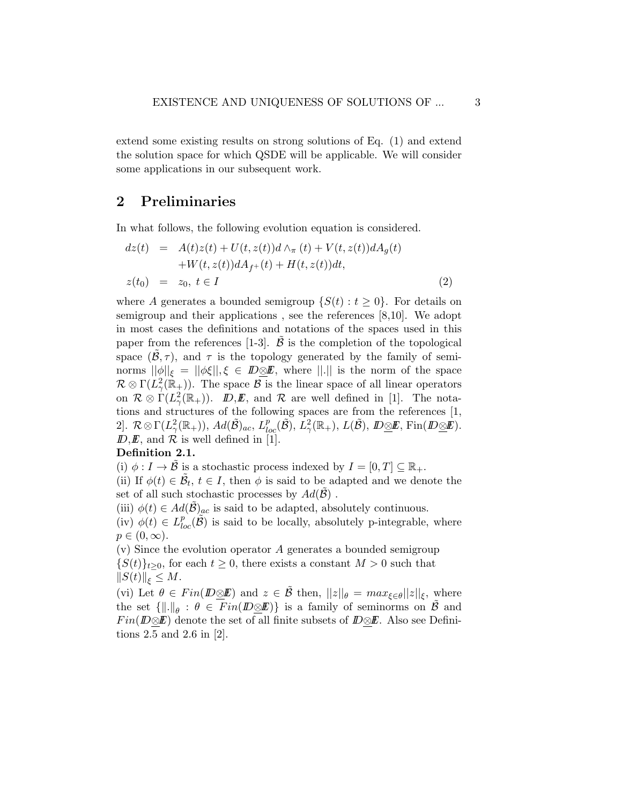extend some existing results on strong solutions of Eq. (1) and extend the solution space for which QSDE will be applicable. We will consider some applications in our subsequent work.

## 2 Preliminaries

In what follows, the following evolution equation is considered.

$$
dz(t) = A(t)z(t) + U(t, z(t))d \wedge_{\pi} (t) + V(t, z(t))dA_g(t)
$$
  
+
$$
W(t, z(t))dA_{f+}(t) + H(t, z(t))dt,
$$
  

$$
z(t_0) = z_0, t \in I
$$
 (2)

where A generates a bounded semigroup  $\{S(t): t \geq 0\}$ . For details on semigroup and their applications , see the references [8,10]. We adopt in most cases the definitions and notations of the spaces used in this paper from the references  $[1-3]$ .  $\beta$  is the completion of the topological space  $(\tilde{\mathcal{B}}, \tau)$ , and  $\tau$  is the topology generated by the family of seminorms  $||\phi||_{\xi} = ||\phi\xi||, \xi \in \mathbb{D}\otimes\mathbb{E}$ , where  $||.||$  is the norm of the space  $\mathcal{R} \otimes \Gamma(L^2_{\gamma}(\mathbb{R}_+))$ . The space  $\mathcal{B}$  is the linear space of all linear operators on  $\mathcal{R} \otimes \Gamma(L^2_\gamma(\mathbb{R}_+))$ .  $\mathbb{D}, \mathbb{E}$ , and  $\mathcal{R}$  are well defined in [1]. The notations and structures of the following spaces are from the references [1,  $2].\ \ \mathcal{R}\otimes\Gamma(L^2_\gamma(\mathbb{R}_+)),\, Ad(\tilde{\mathcal{B}})_{ac},\,L^p_{loc}(\tilde{\mathcal{B}}),\,L^2_\gamma(\mathbb{R}_+),\,L(\tilde{\mathcal{B}}),\,{\it ID}\underline{\otimes}\boldsymbol{E},\,{\rm Fin}({\it ID}\underline{\otimes}\boldsymbol{E}).$  $\mathbb{D}, \mathbb{E}$ , and  $\mathcal{R}$  is well defined in [1].

#### Definition 2.1.

(i)  $\phi: I \to \mathcal{B}$  is a stochastic process indexed by  $I = [0, T] \subseteq \mathbb{R}_+$ .

(ii) If  $\phi(t) \in \tilde{\mathcal{B}}_t$ ,  $t \in I$ , then  $\phi$  is said to be adapted and we denote the set of all such stochastic processes by  $Ad(\mathcal{B})$ .

(iii)  $\phi(t) \in Ad(\mathcal{B})_{ac}$  is said to be adapted, absolutely continuous.

(iv)  $\phi(t) \in L^p_{loc}(\tilde{\mathcal{B}})$  is said to be locally, absolutely p-integrable, where  $p\in(0,\infty).$ 

(v) Since the evolution operator A generates a bounded semigroup  $\{S(t)\}_{t\geq0}$ , for each  $t\geq0$ , there exists a constant  $M>0$  such that  $||S(t)||_{\xi} \leq M.$ 

(vi) Let  $\theta \in Fin(\mathbb{D}\otimes \mathbb{E})$  and  $z \in \mathcal{B}$  then,  $||z||_{\theta} = max_{\xi \in \theta} ||z||_{\xi}$ , where the set  $\{\Vert .\Vert_{\theta} : \theta \in \text{Fin}(D \underline{\otimes} \underline{\mathbf{F}})\}$  is a family of seminorms on  $\tilde{\mathcal{B}}$  and  $Fin(\mathbb{D}\otimes\mathbb{E})$  denote the set of all finite subsets of  $\mathbb{D}\otimes\mathbb{E}$ . Also see Definitions 2.5 and 2.6 in [2].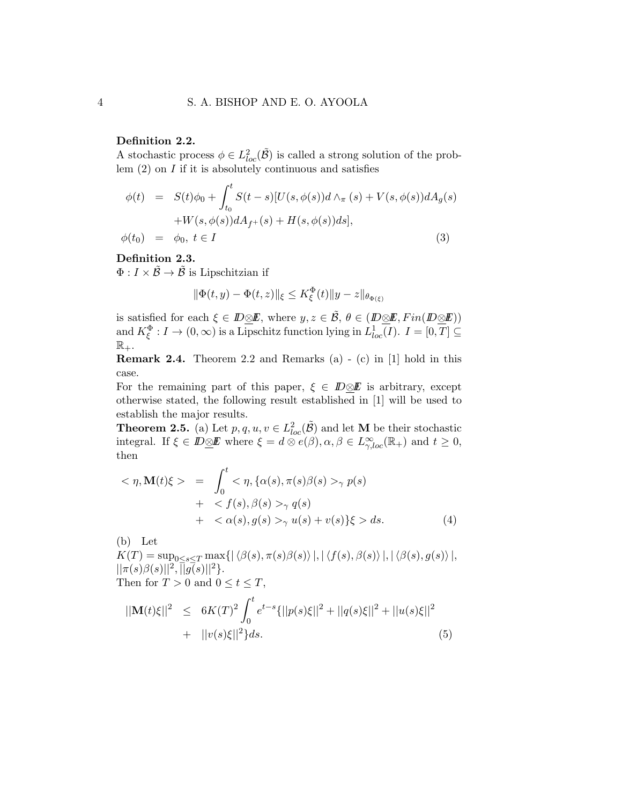#### Definition 2.2.

A stochastic process  $\phi \in L^2_{loc}(\tilde{\mathcal{B}})$  is called a strong solution of the problem  $(2)$  on  $I$  if it is absolutely continuous and satisfies

$$
\phi(t) = S(t)\phi_0 + \int_{t_0}^t S(t-s)[U(s, \phi(s))d\wedge_{\pi}(s) + V(s, \phi(s))dA_g(s) \n+ W(s, \phi(s))dA_{f^+}(s) + H(s, \phi(s))ds],
$$
\n
$$
\phi(t_0) = \phi_0, t \in I
$$
\n(3)

### Definition 2.3.

 $\Phi: I \times \tilde{\mathcal{B}} \to \tilde{\mathcal{B}}$  is Lipschitzian if

$$
\|\Phi(t,y) - \Phi(t,z)\|_{\xi} \le K_{\xi}^{\Phi}(t) \|y - z\|_{\theta_{\Phi(\xi)}}
$$

is satisfied for each  $\xi \in \mathbb{D} \otimes \mathbb{E}$ , where  $y, z \in \tilde{\mathcal{B}}, \theta \in (\mathbb{D} \otimes \mathbb{E}, Fin(\mathbb{D} \otimes \mathbb{E}))$ and  $K_{\xi}^{\Phi}: I \to (0, \infty)$  is a Lipschitz function lying in  $L^{1}_{loc}(I)$ .  $I = [0, T] \subseteq$  $\mathbb{R}_+$ .

Remark 2.4. Theorem 2.2 and Remarks (a) - (c) in [1] hold in this case.

For the remaining part of this paper,  $\xi \in \mathbb{D} \otimes \mathbb{E}$  is arbitrary, except otherwise stated, the following result established in [1] will be used to establish the major results.

**Theorem 2.5.** (a) Let  $p, q, u, v \in L^2_{loc}(\tilde{\mathcal{B}})$  and let **M** be their stochastic integral. If  $\xi \in \mathbb{D}\underline{\otimes}\mathbb{E}$  where  $\xi = d \otimes e(\beta), \alpha, \beta \in L^{\infty}_{\gamma,loc}(\mathbb{R}_{+})$  and  $t \geq 0$ , then

$$
\langle \eta, \mathbf{M}(t)\xi \rangle = \int_0^t \langle \eta, \{\alpha(s), \pi(s)\beta(s) >_\gamma p(s) \rangle + \langle f(s), \beta(s) >_\gamma q(s) \rangle + \langle \alpha(s), g(s) >_\gamma u(s) + v(s) \} \xi > ds. \tag{4}
$$

(b) Let

 $K(T) = \sup_{0 \leq s \leq T} \max \{ |\langle \beta(s), \pi(s) \beta(s) \rangle|, |\langle f(s), \beta(s) \rangle|, |\langle \beta(s), g(s) \rangle|,$  $||\pi(s)\beta(s)||^2$ ,  $||g(s)||^2$ . Then for  $T > 0$  and  $0 \le t \le T$ ,

$$
||\mathbf{M}(t)\xi||^{2} \leq 6K(T)^{2} \int_{0}^{t} e^{t-s} \{ ||p(s)\xi||^{2} + ||q(s)\xi||^{2} + ||u(s)\xi||^{2} + ||u(s)\xi||^{2} + ||v(s)\xi||^{2} \} ds.
$$
\n(5)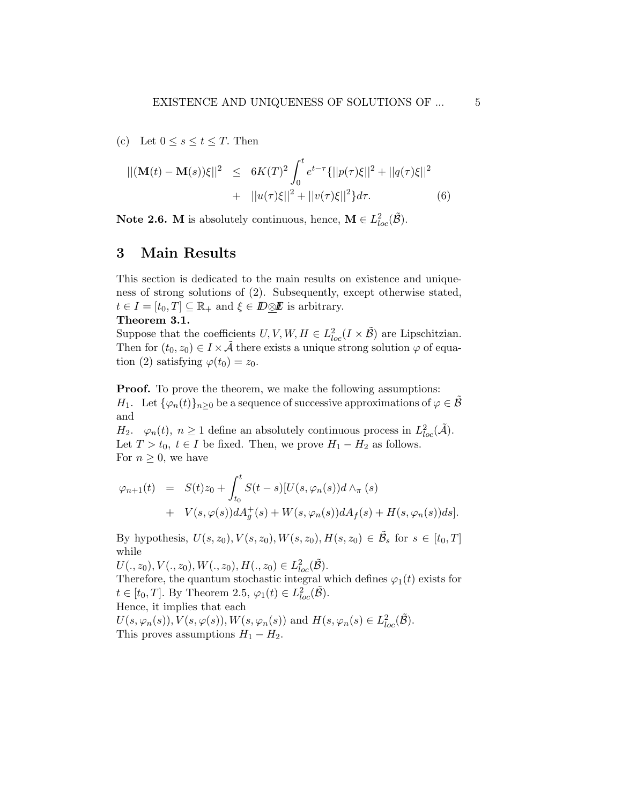(c) Let  $0 \leq s \leq t \leq T$ . Then

$$
||(\mathbf{M}(t) - \mathbf{M}(s))\xi||^2 \le 6K(T)^2 \int_0^t e^{t-\tau} \{ ||p(\tau)\xi||^2 + ||q(\tau)\xi||^2 + ||q(\tau)\xi||^2 + ||u(\tau)\xi||^2 \} d\tau.
$$
 (6)

**Note 2.6.** M is absolutely continuous, hence,  $\mathbf{M} \in L^2_{loc}(\tilde{\mathcal{B}})$ .

# 3 Main Results

This section is dedicated to the main results on existence and uniqueness of strong solutions of (2). Subsequently, except otherwise stated,  $t \in I = [t_0, T] \subseteq \mathbb{R}_+$  and  $\xi \in \mathbb{D} \otimes \mathbb{E}$  is arbitrary.

Theorem 3.1.

Suppose that the coefficients  $U, V, W, H \in L^2_{loc}(I \times \tilde{\mathcal{B}})$  are Lipschitzian. Then for  $(t_0, z_0) \in I \times \tilde{A}$  there exists a unique strong solution  $\varphi$  of equation (2) satisfying  $\varphi(t_0) = z_0$ .

**Proof.** To prove the theorem, we make the following assumptions: H<sub>1</sub>. Let  $\{\varphi_n(t)\}_{n>0}$  be a sequence of successive approximations of  $\varphi \in \mathcal{B}$ and

 $H_2$ .  $\varphi_n(t)$ ,  $n \geq 1$  define an absolutely continuous process in  $L^2_{loc}(\tilde{\mathcal{A}})$ . Let  $T > t_0$ ,  $t \in I$  be fixed. Then, we prove  $H_1 - H_2$  as follows. For  $n \geq 0$ , we have

$$
\varphi_{n+1}(t) = S(t)z_0 + \int_{t_0}^t S(t-s)[U(s,\varphi_n(s))d \wedge_{\pi} (s)
$$
  
+ 
$$
V(s,\varphi(s))dA_g^+(s) + W(s,\varphi_n(s))dA_f(s) + H(s,\varphi_n(s))ds].
$$

By hypothesis,  $U(s, z_0), V(s, z_0), W(s, z_0), H(s, z_0) \in \tilde{\mathcal{B}}_s$  for  $s \in [t_0, T]$ while

 $U(., z_0), V(., z_0), W(., z_0), H(., z_0) \in L^2_{loc}(\tilde{\mathcal{B}}).$ 

Therefore, the quantum stochastic integral which defines  $\varphi_1(t)$  exists for  $t \in [t_0, T]$ . By Theorem 2.5,  $\varphi_1(t) \in L^2_{loc}(\tilde{\mathcal{B}})$ . Hence, it implies that each

 $U(s, \varphi_n(s)), V(s, \varphi(s)), W(s, \varphi_n(s))$  and  $H(s, \varphi_n(s) \in L^2_{loc}(\tilde{\mathcal{B}}).$ This proves assumptions  $H_1 - H_2$ .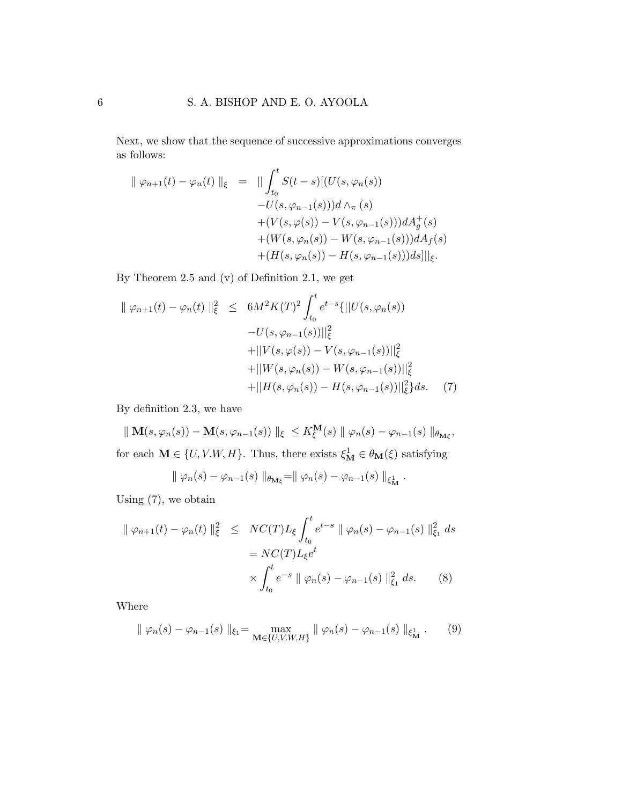Next, we show that the sequence of successive approximations converges as follows:

$$
\|\varphi_{n+1}(t) - \varphi_n(t)\|_{\xi} = \|\int_{t_0}^t S(t-s)[(U(s, \varphi_n(s))-U(s, \varphi_{n-1}(s)))d \wedge_{\pi}(s)+(V(s, \varphi(s)) - V(s, \varphi_{n-1}(s)))dA_g^+(s)+(W(s, \varphi_n(s)) - W(s, \varphi_{n-1}(s)))dA_f(s)+(H(s, \varphi_n(s)) - H(s, \varphi_{n-1}(s)))ds] \|_{\xi}.
$$

By Theorem 2.5 and (v) of Definition 2.1, we get

$$
\|\varphi_{n+1}(t) - \varphi_n(t)\|_{\xi}^2 \leq 6M^2 K(T)^2 \int_{t_0}^t e^{t-s} \{||U(s, \varphi_n(s)) - U(s, \varphi_{n-1}(s))||_{\xi}^2 + ||V(s, \varphi(s)) - V(s, \varphi_{n-1}(s))||_{\xi}^2 + ||W(s, \varphi_n(s)) - W(s, \varphi_{n-1}(s))||_{\xi}^2 + ||H(s, \varphi_n(s)) - H(s, \varphi_{n-1}(s))||_{\xi}^2 ds. \tag{7}
$$

By definition 2.3, we have

 $\Vert M(s,\varphi_n(s)) - M(s,\varphi_{n-1}(s)) \Vert_{\xi} \leq K_{\xi}^{\mathbf{M}}(s) \Vert \varphi_n(s) - \varphi_{n-1}(s) \Vert_{\theta_{\mathbf{M}\xi}},$ for each  $\mathbf{M} \in \{U, V.W, H\}$ . Thus, there exists  $\xi_{\mathbf{M}}^1 \in \theta_{\mathbf{M}}(\xi)$  satisfying

$$
\parallel \varphi_n(s) - \varphi_{n-1}(s) \parallel_{\theta_{\mathbf{M}\xi}} = \parallel \varphi_n(s) - \varphi_{n-1}(s) \parallel_{\xi_{\mathbf{M}}^1}.
$$

Using (7), we obtain

$$
\|\varphi_{n+1}(t) - \varphi_n(t)\|_{\xi}^2 \le NC(T)L_{\xi} \int_{t_0}^t e^{t-s} \|\varphi_n(s) - \varphi_{n-1}(s)\|_{\xi_1}^2 ds
$$
  
= NC(T)L\_{\xi}e^t  

$$
\times \int_{t_0}^t e^{-s} \|\varphi_n(s) - \varphi_{n-1}(s)\|_{\xi_1}^2 ds. \tag{8}
$$

Where

$$
\| \varphi_n(s) - \varphi_{n-1}(s) \|_{\xi_1} = \max_{\mathbf{M} \in \{U, V. W, H\}} \| \varphi_n(s) - \varphi_{n-1}(s) \|_{\xi^1_{\mathbf{M}}}.
$$
 (9)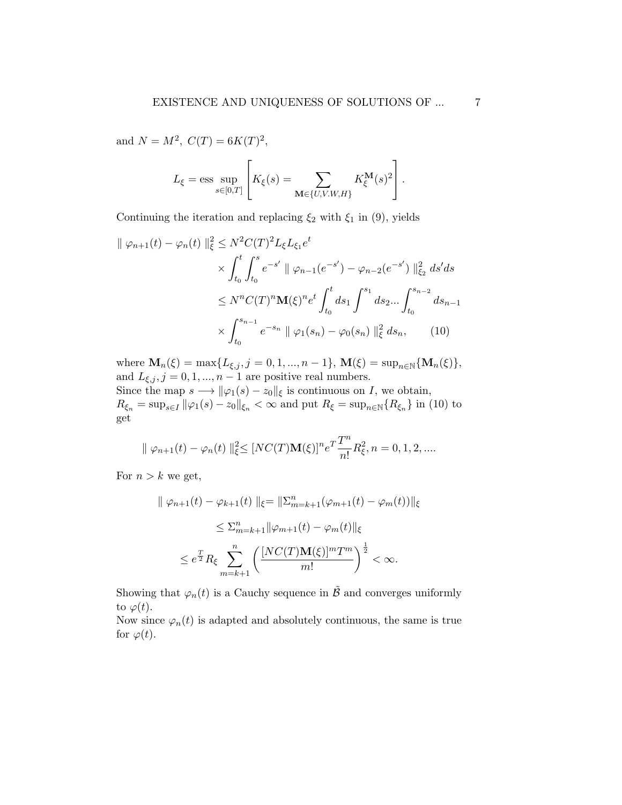and  $N = M^2$ ,  $C(T) = 6K(T)^2$ ,

$$
L_{\xi} = \text{ess} \sup_{s \in [0,T]} \left[ K_{\xi}(s) = \sum_{\mathbf{M} \in \{U, V. W, H\}} K_{\xi}^{\mathbf{M}}(s)^{2} \right].
$$

Continuing the iteration and replacing  $\xi_2$  with  $\xi_1$  in (9), yields

$$
\|\varphi_{n+1}(t) - \varphi_n(t)\|_{\xi}^2 \le N^2 C(T)^2 L_{\xi} L_{\xi_1} e^t
$$
  
\$\times \int\_{t\_0}^t \int\_{t\_0}^s e^{-s'} \|\varphi\_{n-1}(e^{-s'}) - \varphi\_{n-2}(e^{-s'})\|\_{\xi\_2}^2 ds' ds\$  
\$\le N^n C(T)^n \mathbf{M}(\xi)^n e^t \int\_{t\_0}^t ds\_1 \int\_{t\_0}^{s\_1} ds\_2 ... \int\_{t\_0}^{s\_{n-2}} ds\_{n-1}\$  
\$\times \int\_{t\_0}^{s\_{n-1}} e^{-s\_n} \|\varphi\_1(s\_n) - \varphi\_0(s\_n)\|\_{\xi}^2 ds\_n, \qquad (10)\$

where  $\mathbf{M}_n(\xi) = \max\{L_{\xi,j}, j = 0, 1, ..., n-1\}, \, \mathbf{M}(\xi) = \sup_{n \in \mathbb{N}} \{ \mathbf{M}_n(\xi) \},$ and  $L_{\xi,j}, j = 0, 1, ..., n-1$  are positive real numbers.

Since the map  $s \longrightarrow \|\varphi_1(s) - z_0\|_{\xi}$  is continuous on I, we obtain,  $R_{\xi_n} = \sup_{s \in I} ||\varphi_1(s) - z_0||_{\xi_n} < \infty$  and put  $R_{\xi} = \sup_{n \in \mathbb{N}} \{R_{\xi_n}\}\$ in (10) to get

$$
\| \varphi_{n+1}(t) - \varphi_n(t) \|_{\xi}^2 \leq [NC(T)\mathbf{M}(\xi)]^n e^T \frac{T^n}{n!} R_{\xi}^2, n = 0, 1, 2, ....
$$

For  $n > k$  we get,

$$
\|\varphi_{n+1}(t) - \varphi_{k+1}(t)\|_{\xi} = \|\Sigma_{m=k+1}^{n}(\varphi_{m+1}(t) - \varphi_{m}(t))\|_{\xi}
$$
  

$$
\leq \Sigma_{m=k+1}^{n} \|\varphi_{m+1}(t) - \varphi_{m}(t)\|_{\xi}
$$
  

$$
\leq e^{\frac{T}{2}} R_{\xi} \sum_{m=k+1}^{n} \left( \frac{[NC(T)\mathbf{M}(\xi)]^{m} T^{m}}{m!} \right)^{\frac{1}{2}} < \infty.
$$

Showing that  $\varphi_n(t)$  is a Cauchy sequence in  $\tilde{\mathcal{B}}$  and converges uniformly to  $\varphi(t)$ .

Now since  $\varphi_n(t)$  is adapted and absolutely continuous, the same is true for  $\varphi(t)$ .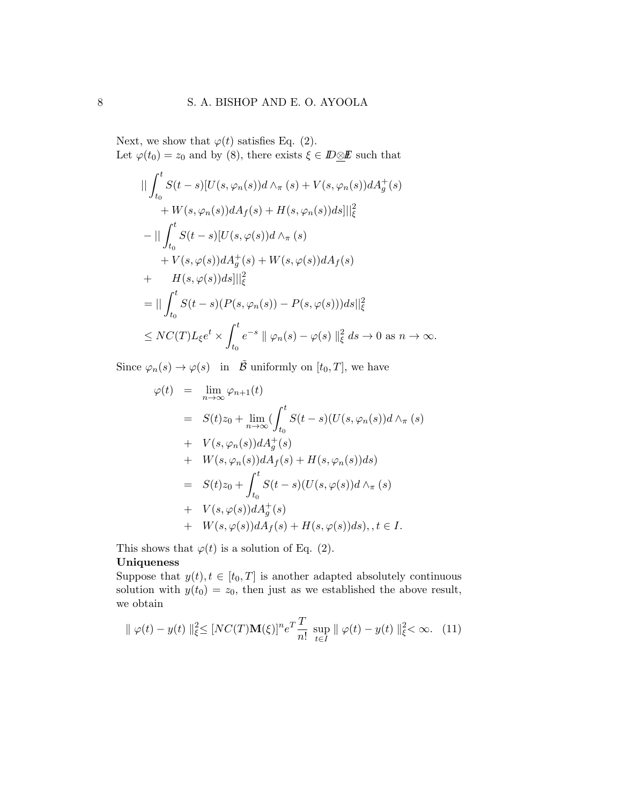Next, we show that  $\varphi(t)$  satisfies Eq. (2). Let  $\varphi(t_0) = z_0$  and by (8), there exists  $\xi \in \mathbb{D} \otimes \mathbb{E}$  such that

$$
\|\int_{t_0}^t S(t-s)[U(s,\varphi_n(s))d\wedge_{\pi}(s)+V(s,\varphi_n(s))dA_g^+(s)\n+W(s,\varphi_n(s))dA_f(s)+H(s,\varphi_n(s))ds]\|_{\xi}^2
$$
\n
$$
-\|\int_{t_0}^t S(t-s)[U(s,\varphi(s))d\wedge_{\pi}(s)\n+V(s,\varphi(s))dA_g^+(s)+W(s,\varphi(s))dA_f(s)\n+ H(s,\varphi(s))ds]\|_{\xi}^2
$$
\n
$$
= \|\int_{t_0}^t S(t-s)(P(s,\varphi_n(s))-P(s,\varphi(s)))ds\|_{\xi}^2
$$
\n
$$
\le NC(T)L_{\xi}e^t \times \int_{t_0}^t e^{-s} \|\varphi_n(s)-\varphi(s)\|_{\xi}^2 ds \to 0 \text{ as } n \to \infty.
$$

Since  $\varphi_n(s) \to \varphi(s)$  in  $\tilde{\mathcal{B}}$  uniformly on  $[t_0, T]$ , we have

$$
\varphi(t) = \lim_{n \to \infty} \varphi_{n+1}(t)
$$
  
\n
$$
= S(t)z_0 + \lim_{n \to \infty} (\int_{t_0}^t S(t-s)(U(s, \varphi_n(s))d \wedge_\pi (s))
$$
  
\n
$$
+ V(s, \varphi_n(s))dA_g^+(s)
$$
  
\n
$$
+ W(s, \varphi_n(s))dA_f(s) + H(s, \varphi_n(s))ds)
$$
  
\n
$$
= S(t)z_0 + \int_{t_0}^t S(t-s)(U(s, \varphi(s))d \wedge_\pi (s))
$$
  
\n
$$
+ V(s, \varphi(s))dA_g^+(s)
$$
  
\n
$$
+ W(s, \varphi(s))dA_f(s) + H(s, \varphi(s))ds), t \in I.
$$

This shows that  $\varphi(t)$  is a solution of Eq. (2).

#### Uniqueness

Suppose that  $y(t), t \in [t_0, T]$  is another adapted absolutely continuous solution with  $y(t_0) = z_0$ , then just as we established the above result, we obtain

$$
\|\varphi(t) - y(t)\|_{\xi}^2 \leq [NC(T)\mathbf{M}(\xi)]^n e^T \frac{T}{n!} \sup_{t \in I} \|\varphi(t) - y(t)\|_{\xi}^2 < \infty. \tag{11}
$$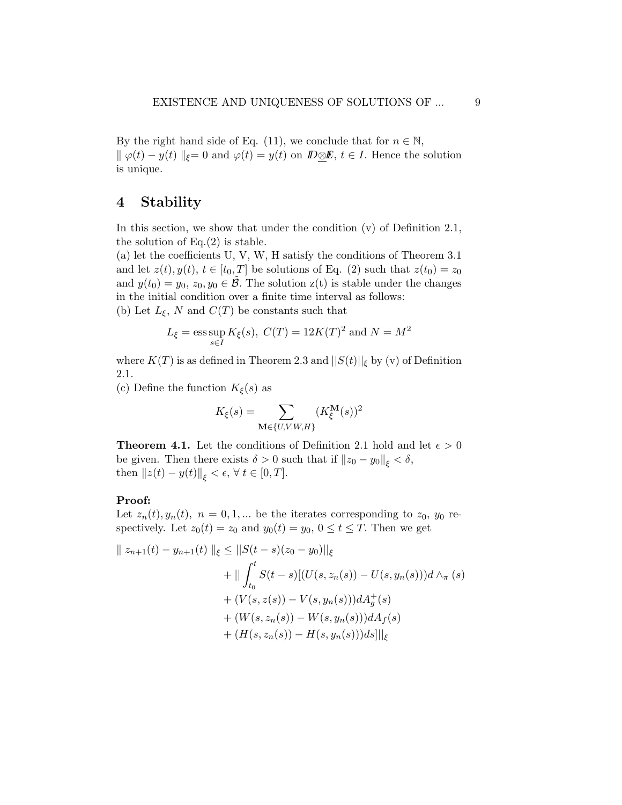By the right hand side of Eq. (11), we conclude that for  $n \in \mathbb{N}$ ,  $\|\varphi(t) - y(t)\|_{\xi} = 0$  and  $\varphi(t) = y(t)$  on  $\mathbb{D}\otimes\mathbb{E}$ ,  $t \in I$ . Hence the solution is unique.

### 4 Stability

In this section, we show that under the condition (v) of Definition 2.1, the solution of  $Eq.(2)$  is stable.

(a) let the coefficients U, V, W, H satisfy the conditions of Theorem 3.1 and let  $z(t), y(t), t \in [t_0, T]$  be solutions of Eq. (2) such that  $z(t_0) = z_0$ and  $y(t_0) = y_0, z_0, y_0 \in \tilde{\mathcal{B}}$ . The solution  $z(t)$  is stable under the changes in the initial condition over a finite time interval as follows: (b) Let  $L_{\xi}$ , N and  $C(T)$  be constants such that

$$
L_{\xi} = \text{ess} \sup_{s \in I} K_{\xi}(s), \ C(T) = 12K(T)^2 \text{ and } N = M^2
$$

where  $K(T)$  is as defined in Theorem 2.3 and  $||S(t)||_{\xi}$  by (v) of Definition 2.1.

(c) Define the function  $K_{\xi}(s)$  as

$$
K_{\xi}(s) = \sum_{\mathbf{M} \in \{U, V. W, H\}} (K_{\xi}^{\mathbf{M}}(s))^2
$$

**Theorem 4.1.** Let the conditions of Definition 2.1 hold and let  $\epsilon > 0$ be given. Then there exists  $\delta > 0$  such that if  $||z_0 - y_0||_{\epsilon} < \delta$ , then  $||z(t) - y(t)||_{\xi} < \epsilon, \forall t \in [0, T].$ 

### Proof:

Let  $z_n(t), y_n(t), n = 0, 1, ...$  be the iterates corresponding to  $z_0, y_0$  respectively. Let  $z_0(t) = z_0$  and  $y_0(t) = y_0$ ,  $0 \le t \le T$ . Then we get

$$
\| z_{n+1}(t) - y_{n+1}(t) \|_{\xi} \le \| S(t-s)(z_0 - y_0) \|_{\xi}
$$
  
+ 
$$
\| \int_{t_0}^t S(t-s) [(U(s, z_n(s)) - U(s, y_n(s)))d \wedge_{\pi} (s) + (V(s, z(s)) - V(s, y_n(s)))dA_g^+(s) + (W(s, z_n(s)) - W(s, y_n(s)))dA_f(s) + (H(s, z_n(s)) - H(s, y_n(s)))dS\|_{\xi}
$$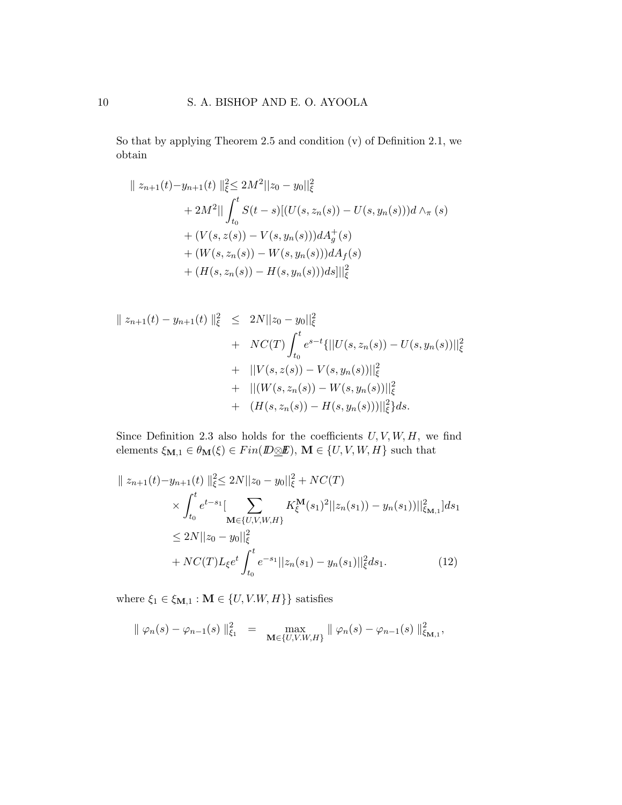So that by applying Theorem 2.5 and condition (v) of Definition 2.1, we obtain

$$
\| z_{n+1}(t) - y_{n+1}(t) \|_{\xi}^{2} \le 2M^{2} \| z_{0} - y_{0} \|_{\xi}^{2}
$$
  
+  $2M^{2} \| \int_{t_{0}}^{t} S(t - s) [(U(s, z_{n}(s)) - U(s, y_{n}(s)))d \wedge_{\pi} (s) + (V(s, z(s)) - V(s, y_{n}(s)))dA_{g}^{+}(s) + (W(s, z_{n}(s)) - W(s, y_{n}(s)))dA_{f}(s) + (H(s, z_{n}(s)) - H(s, y_{n}(s)))ds] \|_{\xi}^{2}$ 

$$
\| z_{n+1}(t) - y_{n+1}(t) \|_{\xi}^{2} \leq 2N \| z_{0} - y_{0} \|_{\xi}^{2}
$$
  
+ 
$$
NC(T) \int_{t_{0}}^{t} e^{s-t} \{ ||U(s, z_{n}(s)) - U(s, y_{n}(s))||_{\xi}^{2}
$$
  
+ 
$$
||V(s, z(s)) - V(s, y_{n}(s))||_{\xi}^{2}
$$
  
+ 
$$
||(W(s, z_{n}(s)) - W(s, y_{n}(s))||_{\xi}^{2}
$$
  
+ 
$$
(H(s, z_{n}(s)) - H(s, y_{n}(s)))||_{\xi}^{2} \} ds.
$$

Since Definition 2.3 also holds for the coefficients  $U, V, W, H$ , we find elements  $\xi_{{\bf M},1} \in \theta_{\bf M}(\xi) \in Fin({I\!D} \underline{\otimes} I\!\!E), \, {\bf M} \in \{U,V,W,H\}$  such that

$$
\| z_{n+1}(t) - y_{n+1}(t) \|_{\xi}^{2} \le 2N \| z_{0} - y_{0} \|_{\xi}^{2} + NC(T)
$$
  
\n
$$
\times \int_{t_{0}}^{t} e^{t-s_{1}} \Big[ \sum_{\mathbf{M} \in \{U, V, W, H\}} K_{\xi}^{\mathbf{M}}(s_{1})^{2} \| z_{n}(s_{1}) - y_{n}(s_{1}) \|_{\xi_{\mathbf{M},1}}^{2} | ds_{1}
$$
  
\n
$$
\le 2N \| z_{0} - y_{0} \|_{\xi}^{2}
$$
  
\n
$$
+ NC(T) L_{\xi} e^{t} \int_{t_{0}}^{t} e^{-s_{1}} \| z_{n}(s_{1}) - y_{n}(s_{1}) \|_{\xi}^{2} ds_{1}.
$$
 (12)

where  $\xi_1 \in \xi_{\mathbf{M},1} : \mathbf{M} \in \{U, V.W, H\}$  satisfies

$$
\|\varphi_n(s) - \varphi_{n-1}(s)\|_{\xi_1}^2 = \max_{\mathbf{M} \in \{U, V. W, H\}} \|\varphi_n(s) - \varphi_{n-1}(s)\|_{\xi_{\mathbf{M},1}}^2,
$$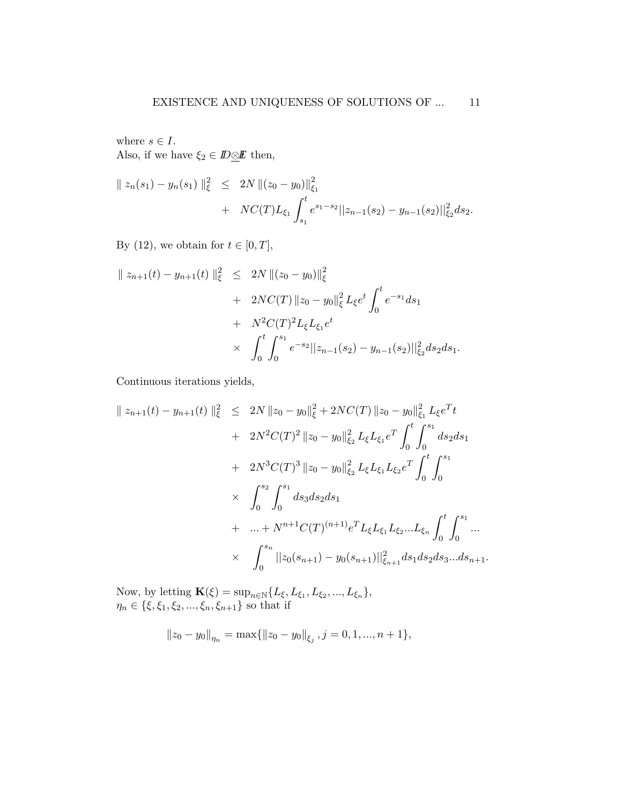where  $s \in I$ . Also, if we have  $\xi_2 \in \mathbb{D} \otimes \mathbb{E}$  then,

$$
\| z_n(s_1) - y_n(s_1) \|_{\xi}^2 \le 2N \| (z_0 - y_0) \|_{\xi_1}^2 + NC(T) L_{\xi_1} \int_{s_1}^t e^{s_1 - s_2} ||z_{n-1}(s_2) - y_{n-1}(s_2)||_{\xi_2}^2 ds_2.
$$

By (12), we obtain for  $t \in [0, T]$ ,

$$
\| z_{n+1}(t) - y_{n+1}(t) \|_{\xi}^{2} \leq 2N \| (z_{0} - y_{0}) \|_{\xi}^{2}
$$
  
+  $2NC(T) \| z_{0} - y_{0} \|_{\xi}^{2} L_{\xi} e^{t} \int_{0}^{t} e^{-s_{1}} ds_{1}$   
+  $N^{2}C(T)^{2} L_{\xi} L_{\xi_{1}} e^{t}$   
 $\times \int_{0}^{t} \int_{0}^{s_{1}} e^{-s_{2}} ||z_{n-1}(s_{2}) - y_{n-1}(s_{2}) ||_{\xi_{2}}^{2} ds_{2} ds_{1}.$ 

Continuous iterations yields,

$$
\| z_{n+1}(t) - y_{n+1}(t) \|_{\xi}^{2} \leq 2N \| z_{0} - y_{0} \|_{\xi}^{2} + 2NC(T) \| z_{0} - y_{0} \|_{\xi_{1}}^{2} L_{\xi} e^{T} t + 2N^{2}C(T)^{2} \| z_{0} - y_{0} \|_{\xi_{2}}^{2} L_{\xi} L_{\xi_{1}} e^{T} \int_{0}^{t} \int_{0}^{s_{1}} ds_{2} ds_{1} + 2N^{3}C(T)^{3} \| z_{0} - y_{0} \|_{\xi_{2}}^{2} L_{\xi} L_{\xi_{1}} L_{\xi_{2}} e^{T} \int_{0}^{t} \int_{0}^{s_{1}} ds_{1} + ... + N^{n+1}C(T)^{(n+1)} e^{T} L_{\xi} L_{\xi_{1}} L_{\xi_{2}} ... L_{\xi_{n}} \int_{0}^{t} \int_{0}^{s_{1}} ... \times \int_{0}^{s_{n}} \| z_{0}(s_{n+1}) - y_{0}(s_{n+1}) \|_{\xi_{n+1}}^{2} ds_{1} ds_{2} ds_{3} ... ds_{n+1}.
$$

Now, by letting  $\mathbf{K}(\xi) = \sup_{n \in \mathbb{N}} \{L_{\xi}, L_{\xi_1}, L_{\xi_2}, ..., L_{\xi_n}\},$  $\eta_n \in \{\xi, \xi_1, \xi_2, ..., \xi_n, \xi_{n+1}\}\$  so that if

$$
||z_0 - y_0||_{\eta_n} = \max{||z_0 - y_0||_{\xi_j}, j = 0, 1, ..., n + 1},
$$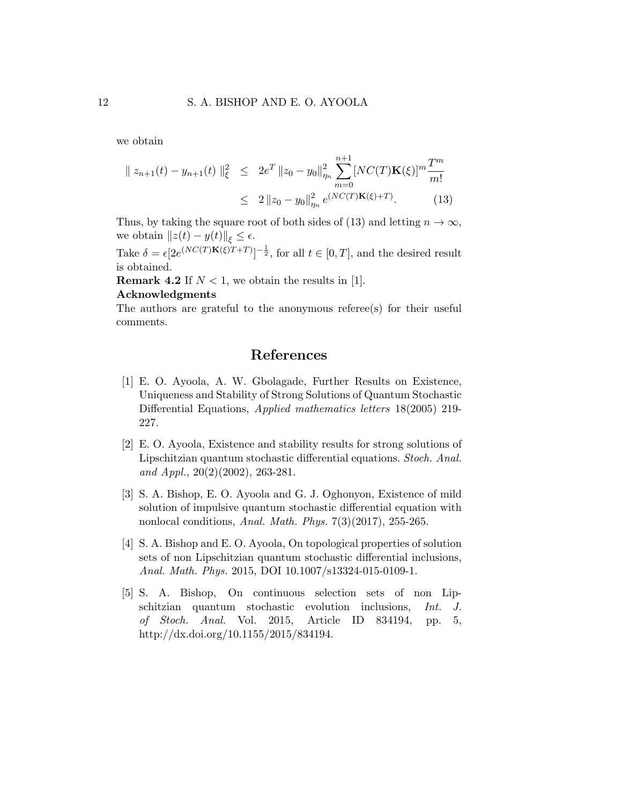we obtain

$$
\| z_{n+1}(t) - y_{n+1}(t) \|_{\xi}^2 \leq 2e^T \| z_0 - y_0 \|_{\eta_n}^2 \sum_{m=0}^{n+1} [NC(T)K(\xi)]^m \frac{T^m}{m!}
$$
  

$$
\leq 2 \| z_0 - y_0 \|_{\eta_n}^2 e^{(NC(T)K(\xi) + T)}.
$$
 (13)

Thus, by taking the square root of both sides of (13) and letting  $n \to \infty$ , we obtain  $||z(t) - y(t)||_{\varepsilon} \leq \epsilon$ .

Take  $\delta = \epsilon [2e^{(NC(T)\mathbf{K}(\xi)T+T)}]^{-\frac{1}{2}}$ , for all  $t \in [0, T]$ , and the desired result is obtained.

**Remark 4.2** If  $N < 1$ , we obtain the results in [1].

#### Acknowledgments

The authors are grateful to the anonymous referee(s) for their useful comments.

## References

- [1] E. O. Ayoola, A. W. Gbolagade, Further Results on Existence, Uniqueness and Stability of Strong Solutions of Quantum Stochastic Differential Equations, Applied mathematics letters 18(2005) 219- 227.
- [2] E. O. Ayoola, Existence and stability results for strong solutions of Lipschitzian quantum stochastic differential equations. Stoch. Anal. and Appl.,  $20(2)(2002)$ ,  $263-281$ .
- [3] S. A. Bishop, E. O. Ayoola and G. J. Oghonyon, Existence of mild solution of impulsive quantum stochastic differential equation with nonlocal conditions, Anal. Math. Phys. 7(3)(2017), 255-265.
- [4] S. A. Bishop and E. O. Ayoola, On topological properties of solution sets of non Lipschitzian quantum stochastic differential inclusions, Anal. Math. Phys. 2015, DOI 10.1007/s13324-015-0109-1.
- [5] S. A. Bishop, On continuous selection sets of non Lipschitzian quantum stochastic evolution inclusions, Int. J. of Stoch. Anal. Vol. 2015, Article ID 834194, pp. 5, http://dx.doi.org/10.1155/2015/834194.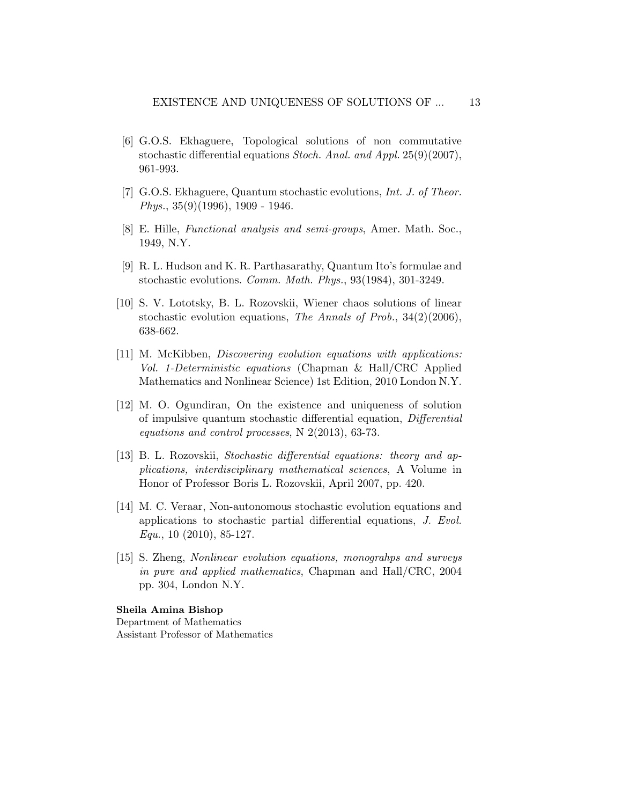- [6] G.O.S. Ekhaguere, Topological solutions of non commutative stochastic differential equations Stoch. Anal. and Appl. 25(9)(2007), 961-993.
- [7] G.O.S. Ekhaguere, Quantum stochastic evolutions, Int. J. of Theor. Phys., 35(9)(1996), 1909 - 1946.
- [8] E. Hille, Functional analysis and semi-groups, Amer. Math. Soc., 1949, N.Y.
- [9] R. L. Hudson and K. R. Parthasarathy, Quantum Ito's formulae and stochastic evolutions. Comm. Math. Phys., 93(1984), 301-3249.
- [10] S. V. Lototsky, B. L. Rozovskii, Wiener chaos solutions of linear stochastic evolution equations, The Annals of Prob., 34(2)(2006), 638-662.
- [11] M. McKibben, Discovering evolution equations with applications: Vol. 1-Deterministic equations (Chapman & Hall/CRC Applied Mathematics and Nonlinear Science) 1st Edition, 2010 London N.Y.
- [12] M. O. Ogundiran, On the existence and uniqueness of solution of impulsive quantum stochastic differential equation, Differential equations and control processes, N 2(2013), 63-73.
- [13] B. L. Rozovskii, Stochastic differential equations: theory and applications, interdisciplinary mathematical sciences, A Volume in Honor of Professor Boris L. Rozovskii, April 2007, pp. 420.
- [14] M. C. Veraar, Non-autonomous stochastic evolution equations and applications to stochastic partial differential equations, J. Evol.  $Equ., 10$  (2010), 85-127.
- [15] S. Zheng, Nonlinear evolution equations, monograhps and surveys in pure and applied mathematics, Chapman and Hall/CRC, 2004 pp. 304, London N.Y.

#### Sheila Amina Bishop

Department of Mathematics Assistant Professor of Mathematics